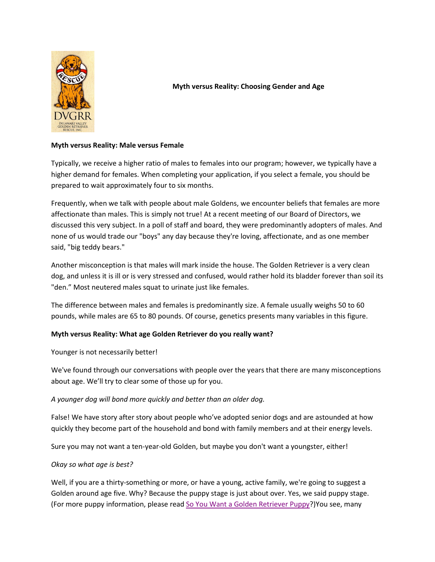

# **Myth versus Reality: Choosing Gender and Age**

# **Myth versus Reality: Male versus Female**

Typically, we receive a higher ratio of males to females into our program; however, we typically have a higher demand for females. When completing your application, if you select a female, you should be prepared to wait approximately four to six months.

Frequently, when we talk with people about male Goldens, we encounter beliefs that females are more affectionate than males. This is simply not true! At a recent meeting of our Board of Directors, we discussed this very subject. In a poll of staff and board, they were predominantly adopters of males. And none of us would trade our "boys" any day because they're loving, affectionate, and as one member said, "big teddy bears."

Another misconception is that males will mark inside the house. The Golden Retriever is a very clean dog, and unless it is ill or is very stressed and confused, would rather hold its bladder forever than soil its "den." Most neutered males squat to urinate just like females.

The difference between males and females is predominantly size. A female usually weighs 50 to 60 pounds, while males are 65 to 80 pounds. Of course, genetics presents many variables in this figure.

# **Myth versus Reality: What age Golden Retriever do you really want?**

Younger is not necessarily better!

We've found through our conversations with people over the years that there are many misconceptions about age. We'll try to clear some of those up for you.

*A younger dog will bond more quickly and better than an older dog.*

False! We have story after story about people who've adopted senior dogs and are astounded at how quickly they become part of the household and bond with family members and at their energy levels.

Sure you may not want a ten-year-old Golden, but maybe you don't want a youngster, either!

# *Okay so what age is best?*

Well, if you are a thirty-something or more, or have a young, active family, we're going to suggest a Golden around age five. Why? Because the puppy stage is just about over. Yes, we said puppy stage. (For more puppy information, please read [So You Want a Golden Retriever Puppy?](http://www.dvgrr.org/pdf/soyouwantagoldenretrieverpuppy.pdf))You see, many